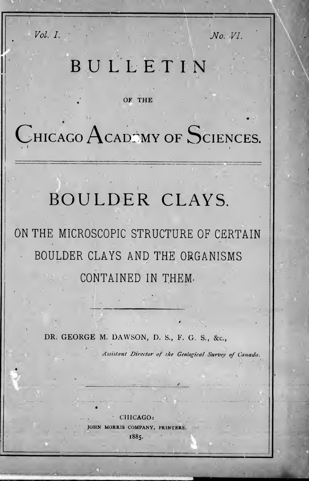$Vol. I.$  J.  $\qquad \qquad$   $N_{O.} VI.$ 

# BULLETIN

OF THE

# $C$ HICAGO  $A$ CAD.MY OF SCIENCES.

# BOULDER CLAYS.

ON THE MICROSCOPIC STRUCTURE OF CERTAIN BOULDER CLAYS AND THE ORGANISMS CONTAINED IN THEM.

DR. GEORGE M. DAWSON, D. S., F. G. S., &c.,

Assistant Director of the Geological Survey of Canada.

• CHICAGO: MORRIS COMPANY, PRINTERS 1885.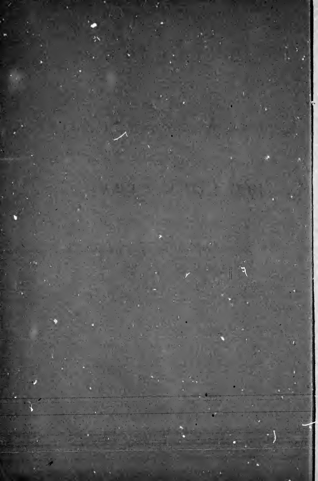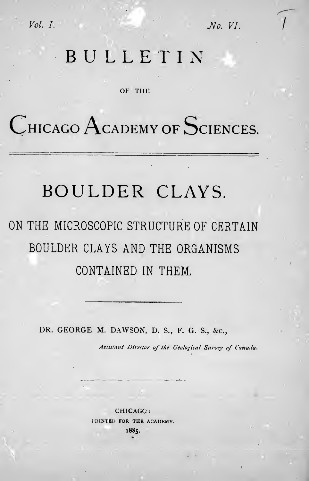$Vol. I.$   $N_o. VI.$ 

# BULLETIN

### OF THE

# CHICAGO ACADEMY OF SCIENCES.

# BOULDER CLAYS.

# ON THE MICROSCOPIC STRUCTURE OF CERTAIN BOULDER CLAYS AND THE ORGANISMS CONTAINED IN THEM,

DR. GEORGE M. DAWSON, D. S., F. G. S., &c.,

Assistant Director of the Geological Survey of Canada.

CHICAGO: **IRINTED FOR THE ACADEMY.** 1885.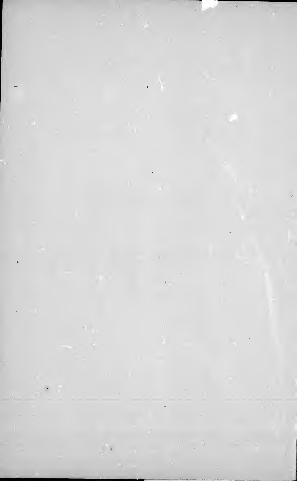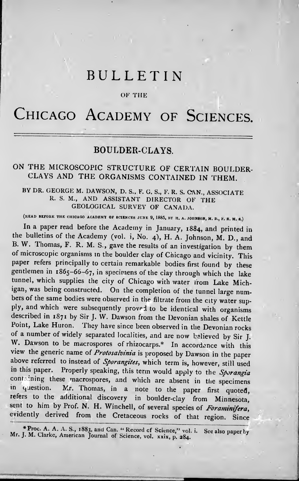# BULLETIN

### OF THE

# CHICAGO ACADEMY OF SCIENCES.

## BOULDER-CLAYS.

## ON THE MICROSCOPIC STRUCTURE OF CERTAIN BOULDER-CLAYS AND THE ORGANISMS CONTAINED IN THEM.

### BY DR. GEORGE M. DAWSON, D. S., F. G. S., F. R. S. CAN., ASSOCIATE R. S. M., AND ASSISTANT DIRECTOR OF THE GEOLOGICAL SURVEY OF CANADA.

(READ BEFORE THE CHICAGO ACADEMY OF SCIENCES JUNE 9, 1885, BY II. A. JOHNSON, M. D., F. R. M. S.)

In <sup>a</sup> paper read before the Academy in January, 1884, and printed in the bulletins of the Academy (vol. i, No. 4), H. A. Johnson, M. D., and B. W. Thomas, F. R. M. S., gave the results of an investigation by them of microscopic organisms in the boulder clay of Chicago and vicinity. This paper refers principally to certain remarkable bodies first found by these gentlemen in 1865-66-67, in specimens of the clay through which the lake tunnel, which supplies the city of Chicago with water from Lake Michigan, was being constructed. On the completion of the tunnel large numbers of the same bodies were observed in the filtrate from the city water supply, and which were subsequently proved to be identical with organisms described in 1871 by Sir J. W. Dawson from the Devonian shales of Kettle Point, Lake Huron. They have since been observed in the Devonian rocks of a number of widely separated localities, and are now believed by Sir J. W. Dawson to be macrospores of rhizocarps.\* In accordance with this view the generic name of *Protosalvinia* is proposed by Dawson in the paper above referred to instead of Sporangites, which term is, however, still used in this paper. Properly speaking, this term would apply to the Sporangia containing these macrospores, and which are absent in the specimens<br>in question. Mr. Thomas, in a note to the paper first, quoted Mr. Thomas, in a note to the paper first quoted, refers to the additional discovery in boulder-clay from Minnesota, sent to him by Prof. N. H. Winchell, of several species of Foraminifera, evidently derived from the Cretaceous rocks of that region. Since

\* Proc. A. A. A. S., 1883, and Can. " Record of Science," vol. i. See also paper by Mr. J. M. Clarke, American Journal of Science, vol. xxix, p. 284.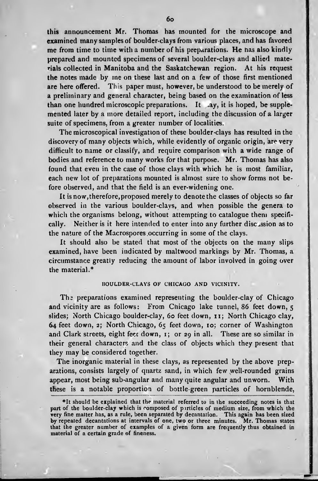this announcement Mr. Thomas has mounted for the microscope and examined many samples of boulder-clays from various places, and has favored me from time to time with a number of his preparations. He has also kindly prepared and mounted specimens of several boulder-clays and allied materials collected in Manitoba and the Saskatchewan region. At his request the notes made by me on these last and on a few of those first mentioned are here offered. This paper must, however, be understood to be merely of a preliminary and general character, being based on the examination of less than one hundred microscopic preparations. It ay, it is hoped, be supplemented later by a more detailed report, including the discussion of a larger suite of specimens, from a greater number of localities.

The microscopical investigation of these boulder clays has resulted in the discovery of many objects which, while evidently of organic origin, are very difficult to name or classify, and require comparison with a wide range of bodies and reference to many works for that purpose. Mr. Thomas has also found that even in the case of those clays with which he is most familiar, each new lot of preparations mounted is almost sure to show forms not before observed, and that the field is an ever-widening one.

It is now, therefore, proposed merely to denote the classes of objects so far observed in the various boulder-clays, and when possible the genera to which the organisms belong, without attempting to catalogue them specifically. Neither is it here intended to enter into any further discussion as to the nature of the Macrospores occurring in some of the clays.

It should also be stated that most of the objects on the many slips examined, have been indicated by maltwood markings by Mr. Thomas, a circumstance greatly reducing the amount of labor involved in going over the material.\*

#### BOULDER-CLAVS OK CHICAGO AND VICINITY.

The preparations examined representing the boulder-clay of Chicago and vicinity are as follows: From Chicago lake tunnel, 86 feet down, <sup>5</sup> slides; North Chicago boulder-clay, 60 feet down, 11; North Chicago clay, 64 feet down, 2; North Chicago, 65 feet down, 10; corner of Washington and Clark streets, eight feet down,  $r$ ; or  $z_9$  in all. These are so similar in their general characters and the class of objects which they present that they may be considered together.

The inorganic material in these clays, as represented by the above preparations, consists largely of quartz sand, in which few well-rounded grains appear, most being sub-angular and many quite angular and unworn. With these is a notable proportion of bottle green particles of hornblende,

<sup>\*</sup>It should be explained that the material referred 10 in the succeeding notes is that part of the boulder-clay which is composed of pirticles of medium size, from which the very fine matter has, as a rule, been separated by decantation. This again has been sized<br>by repeated decantations at intervals of one, two or three minutes. Mr. Thomas states that the greater number of examples of a given form are frequently thus obtained in material of a certain grade of fineness.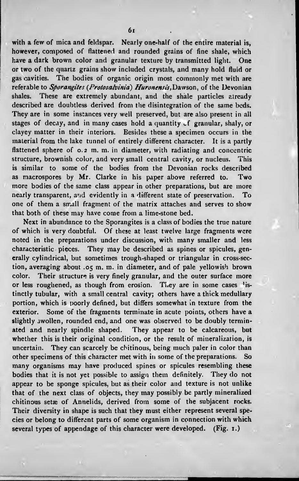with a few of mica and feldspar. Nearly one-half of the entire material is, however, composed of flattened and rounded grains of fine shale, which have a dark brown color and granular texture by transmitted light. One or two of the quartz grains show included crystals, and many hold fluid or gas cavities. The bodies of organic origin most commonly met with are referable to *Sporangites (Protosalvinia) Huronensis*, Dawson, of the Devonian shales. These are extremely abundant, and the shale particles already described are doubtless derived from the disintegration of the same beds. They are in some instances very well preserved, but are also present in all stages of decay, and in many cases hold a quantity of granular, shaly, or clayey matter in their interiors. Besides these a specimen occurs in the material from the lake tunnel of entirely different character. It is a partly flattened sphere of 0.2 m.m. in diameter, with radiating and concentric structure, brownish color, and very small central cavity, or nucleus. This is similar to some of the bodies from the Devonian rocks described as macrospores by Mr. Clarke in his paper above referred to. Two more bodies of the same class appear in other preparations, but are more nearly transparent, and evidently in <sup>a</sup> different state of preservation. To one of them a small fragment of the matrix attaches and serves to show that both of these may have come from a lime-stone bed.

Next in abundance to the Sporangites is a class of bodies the true nature of which is very doubtful. Of these at least twelve large fragments were noted in the preparations under discussion, with many smaller and less characteristic pieces. They may be described as spines or spicules, generally cylindrical, but sometimes trough-shaped or triangular in cross-section, averaging about .05 m. m. in diameter, and of pale yellowish brown color. Their structure is very finely granular, and the outer surface more or less roughened, as though from erosion. They are in some cases distinctly tubular, with a small central cavity; others have a thick medullary portion, which is poorly defined, but differs somewhat in texture from the exterior. Some of the fragments terminate in acute points, others have a slightly swollen, rounded end, and one was observed to be doubly termin-<br>ated and nearly spindle shaped. They appear to be calcareous, but ated and nearly spindle shaped. They appear to be calcareous, but whether this is their original condition, or the result of mineralization, is uncertain. They can scarcely be cbitinous, being much paler in color than other specimens of this character met with in some of the preparations. So many organisms may have produced spines or spicules resembling these bodies that it is not yet possible to assign them definitely. They do not bodies that it is not yet possible to assign them definitely. appear to be sponge spicules, but as their color and texture is not unlike that of the next class of objects, they may possibly be partly mineralized chitinous setae of Annelids, derived from some of the subjacent rocks. Their diversity in shape is such that they must either represent several species or belong to different parts of some organism in connection with which several types of appendage of this character were developed. (Fig. 1.)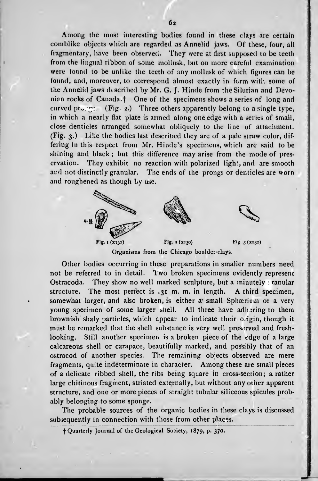Among the most interesting bodies found in these clays are certain comblike objects which are regarded as Annelid jaws. Of these, four, all fragmentary, have been observed. They were at first supposed to be teeth from the lingual ribbon of some mollusk, but on more careful examination were found to be unlike the teeth of any mollusk of which figures can be found, and, moreover, to correspond almost exactly in form with some of the Annelid jaws described by Mr. G. J. Hinde from the Silurian and Devonian rocks of Canada.<sup>†</sup> One of the specimens shows a series of long and curved pro.  $\gamma$ . (Fig. 2.) Three others apparently belong to a single type, in which a nearly fiat plate is armed along one edge with a series of small, close denticles arranged somewhat obliquely to the line of attachment. (Fig. 3.) Like the bodies last described they are of a pale straw color, dif fering in this respect from Mr. Hinde's specimens, which are said to be shining and black ; but this difference may arise from the mode of pres ervation. They exhibit no reaction with polarized light, and are smooth and not distinctly granular. The ends of the prongs or denticles are worn and roughened as though by use.



Organisms from the Chicago boulder-clays.

Other bodies occurring in these preparations in smaller numbers need not be referred to in detail. 1 wo broken specimens evidently represent Ostracoda. They show no well marked sculpture, but a minutely ranular structure. The most perfect is .31 m.m. in length. A third specimen, somewhat larger, and also broken, is either a small Sphærium or a very young specimen of some larger shell. All three have adhering to them brownish shaly particles, which appear to indicate their origin, though it must be remarked that the shell substance is very well preserved and freshlooking. Still another specimen is a broken piece of the edge of a large calcareous shell or carapace, beautifully marked, and possibly that of an ostracod of another species. The remaining objects observed are mere fragments, quite indeterminate in character. Among these are small pieces of a delicate ribbed shell, the ribs being square in cross-section; a rather large chitinous fragment, striated externally, but without any orher apparent structure, and one or more pieces of straight tubular siliceous spicules probably belonging to some sponge.

The probable sources of the organic bodies in these clays is discussed subsequently in connection with those from other places.

f Quarterly Journal of the Geological Society, 1879, p. 370.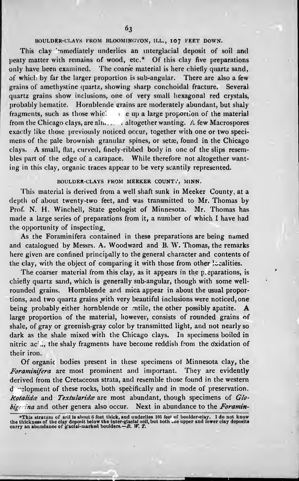This clay 'mmediately underlies an interglacial deposit of soil and peaty matter with remains of wood, etc.\* Of this clay five preparations only have been examined. The coarse material is here chiefly quartz sand, of which by far the larger proportion is sub-angular. There are also a few grains of amethystine quartz, showing sharp conchoidal fracture. Several quartz grains show inclusions, one of very small hexagonal red crystals, probably hematite. Hornblende grains are moderately abundant, but shaly fragments, such as those which  $\epsilon$  is the up a large proportion of the material from the Chicago clays, are almed a altogether wanting. A few Macrospores exactly like those previously noticed occur, together with one or two speci mens of the pale brownish granular spines, or setæ, found in the Chicago clays. A small, flat, curved, finely -ribbed body in one of the slips resembles part of the edge of a carapace. While therefore not altogether wanting in this clay, organic traces appear to be very scantily represented.

### BOULDER-CLAYS FROM MEEKER COUNTY, MINN.

1'his material is derived from a well shaft sunk in Meeker County, at a depth of about twenty-two feet, and was transmitted to Mr. Thomas by Prof. N. H. Winchell, State geologist of Minnesota. Mr. Thomas has made a large series of preparations from it, a number of which <sup>I</sup> have had the opportunity of inspecting.

As the Foraminifera contained in these preparations are being named and catalogued by Messrs. A, Woodward and B. W. Thomas, the remarks here given are confined principally to the general character and contents of the clay, with the object of comparing it with those from other localities.

The coarser material from this clay, as it appears in the p. eparations, is chiefly quartz sand, which is generally sub-angular, though with some well rounded grains. Hornblende and mica appear in about the usual proportions, and two quartz grains with very beautiful inclusions were noticed, one being probably either hornblende or  $\pi$ utile, the other possibly apatite. A large proportion of the material, however, consists of rounded grains of shale, of gray or greenish-gray color by transmitted light, and not nearly so dark as the shale mixed with the Chicago clays. In specimens boiled in nitric acid, the shaly fragments have become reddish from the oxidation of their iron.

Of organic bodies present in these specimens ot Minnesota clay, the Foraminifera are most prominent and important. They are evidently derived from the Cretaceous strata, and resemble those found in the western d "elopment of these rocks, both specifically and in mode of preservation. Rotalidæ and Textularidæ are most abundant, though specimens of Globigerina and other genera also occur. Next in abundance to the Foramin-

<sup>\*</sup>This stratum of soil is about 6 feet thick, and underlies 101 feet of boulder-clay. 1 do not know<br>the thickness of the clay deposit below the inter-glacial soil, but both the upper and lower clay deposits<br>carry an abunda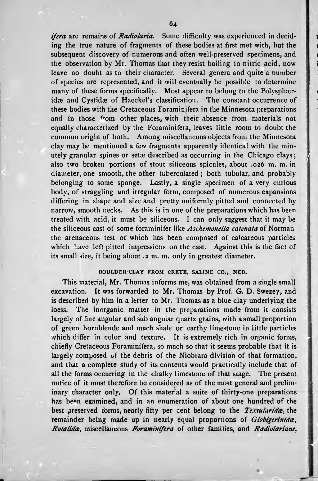ifera are remains of Radiolaria. Some difficulty was experienced in deciding the true nature of fragments of these bodies at first met with, but the subsequent discovery of numerous and often well-preserved specimens, and the observation by Mr. Thomas that they resist boiling in nitric acid, now leave no doubt as to their character. Several genera and quite a number of species are represented, and itwill eventually be possible to determine many of these forms specifically. Most appear to belong to the Polysphæridae and Cystidae of Haeckel's classification. The constant occurrence of these bodies with the Cretaceous Foraminifera in the Minnesota preparations and in those from other places, with their absence from materials not equally characterized by the Foraminifera, leaves little room to doubt the common origin of both. Among miscellaneous objects from the Minnesota clay may be mentioned a few fragments apparently identical with the minutely granular spines or setæ described as occurring in the Chicago clays; also two broken portions of stout siliceous spicules, about .026 m. m. in diameter, one smooth, the other tuberculated ; both tubular, and probably belonging to some sponge. Lastly, a single specimen of a very curious body, of straggling and irregular form, composed of numerous expansions differing in shape and size and pretty uniformly pitted and connected by narrow, smooth necks. As this is in one of the preparations which has been treated with acid, it must be siliceous. <sup>I</sup> can only suggest that it may be the siliceous cast of some foraminifer like *Aschemonella catenata* of Norman the arenaceous test of which has been composed of calcareous particles which have left pitted impressions on the cast. Against this is the fact of its small size, it being about .2 m. m. only in greatest diameter.

#### BOULDER-CLAY FROM CRETE, SALINE CO., NEB.

This material, Mr. Thomas informs me, was obtained from a single small excavation. It was forwarded to Mr. Thomas by Prof. G. D. Swezey, and is described by him in a letter to Mr. Thomas as a blue clay underlying the loess. The inorganic matter in the preparations made from it consists largely of fine angular and sub angular quartz grains, with a small proportion of green hornblende and much shale or earthy limestone in little particles <sup>|</sup> which differ in color and texture. It is extremely rich in organic forms, chiefly Cretaceous Foraminifera, so much so that it seems probable that it is largely composed of the debris of the Niobrara division of that formation, and that a complete study of its contents would practically include that of all the forms occurring in the chalky limestone of that stage. The present notice of it must therefore be considered as of the most general and preliminary character only. Of this material a suite of thirty-one preparations has been examined, and in an enumeration of about one hundred of the best preserved forms, nearly fifty per cent belong to the Textularida, the remainder being made up in nearly equal proportions of *Globigerinida*, Rotalida, miscellaneous Foraminifera of other families, and Radiolarians,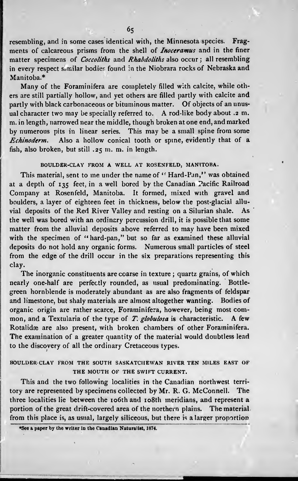resembling, and in some cases identical with, the Minnesota species. Frag ments of calcareous prisms from the shell of *Inoceramus* and in the finer matter specimens of Coccoliths and Rhabdoliths also occur; all resembling in every respect Similar bodies found in the Niobrara rocks of Nebraska and Manitoba.\*

Many of the Foraminifera are completely filled with calcite, while others are still partially hollow, and yet others are filled partly with calcite and partly with black carbonaceous or bituminous matter. Of objects of an unusual character two may be specially referred to. A rod-like body about .2 m. m. in length, narrowed near the middle, though broken at one end, and marked by numerous pits in linear series. This may be a small spine from some Echinoderm. Also a hollow conical tooth or spine, evidently that of a fish, also broken, but still .25 m. m. in length.

### BOULDER-CLAV FROM A WELL AT ROSENFELD, MANITOBA.

This material, sent to me under the name of "Hard-Pan," was obtained at a depth of 135 feet, in a well bored by the Canadian Pacific Railroad Company at Rosenfeld, Manitoba. It formed, mixed with gravel and boulders, a layer of eighteen feet in thickness, below the post-glacial alluvial deposits of the Red River Valley and resting on a Silurian shale. As the well was bored with an ordinary percussion drill, it is possible that some matter from the alluvial deposits above referred to may have been mixed with the specimen of "hard-pan," but so far as examined these alluvial deposits do not hold any organic forms. Numerous small particles of steel from the edge of the drill occur in the six preparations representing this clay.

The inorganic constituents are coarse in texture ; quartz grains, of which nearly one-half are perfectly rounded, as usual predominating. Bottlegreen hornblende is moderately abundant as are also fragments of feldspar and limestone, but shaly materials are almost altogether wanting. Bodies of organic origin are rather scarce, Foraminifera, however, being most common, and a Textularia of the type of  $T$ . globulosa is characteristic. A few Rotalidae are also present, with broken chambers of other Foraminifera. The examination of a greater quantity of the material would doubtless lead to the discovery of all the ordinary Cretaceous types.

BOULDER CLAY FROM THE SOUTH SASKATCHEWAN RIVER TEN MILES EAST OF THE MOUTH OF THE SWIFT CURRENT.

This and the two following localities in the Canadian northwest terri tory are represented by specimens collected by Mr. R. G. McConnell. The three localities lie between the io6th and io8th meridians, and represent a portion of the great drift-covered area of the northern plains. The material from this place is, as usual, largely siliceous, but there is a larger proportion

\*See a paper by the writer in the Canadian Naturalist, 1874.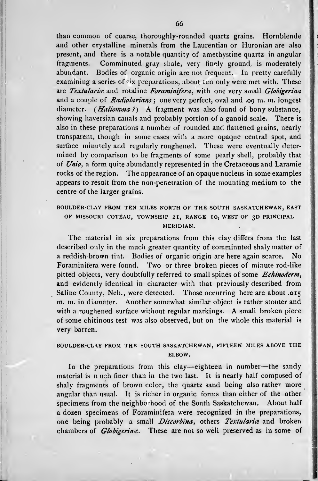than common of coarse, thoroughly-rounded quartz grains. Hornblende and other crystalline minerals from the Laurentian or Huronian are also present, and there is a notable quantity of amethystine quartz in angular fragments. Comminuted gray shale, very finely ground, is moderately abundant. Bodies of organic origin are not frequent. In pretty carefully examining a series of six preparations, about ten only were met with. These are Textularice and rotaline Foraminifera, with one very small Globigerina and a couple of Radiolarians; one very perfect, oval and .09 m. m. longest diameter.  $(Haliomma ?)$  A fragment was also found of bony substance, showing haversian canals and probably portion of a ganoid scale. There isalso in these preparations a number of rounded and flattened grains, nearly transparent, though in some cases with a more opaque central spot, and surface minutely and regularly roughened. These were eventually deter mined by comparison to be fragments of some pearly shell, probably that of Unio, a form quite abundantly represented in the Cretaceous and Laramie rocks of the region. The appearance of an opaque nucleus in some examples appears to result from the non-penetration of the mounting medium to the centre of the larger grains.

## BOULDER-CLAV FROM TEN MILES NORTH OF THE SOUTH SASKATCHEWAN, EAST OF MISSOURI COTEAU, TOWNSHIP 21, RANGE 10, WEST OF 3D PRINCIPAL MERIDIAN.

The material in six preparations from this clay differs from the last described only in the much greater quantity of comminuted shaly matter of a reddish-brown tint. Bodies of organic origin are here again scarce. No Foraminifera were found. Two or three broken pieces of minute rod-like pitted objects, very doubtfully referred to small spines of some Echinoderm, and evidently identical in character with that previously described from Saline County, Neb., were detected. Those occurring here are about .015 m. m. in diameter. Another somewhat similar object is rather stouter and with a roughened surface without regular markings. A small broken piece of some chitinous test was also observed, but on the whole this material is very barren.

### BOULDER-CLAY FROM THE SOUTH SASKATCHEWAN, FIFTEEN MILES ABOVE THE ELBOW.

In the preparations from this clay—eighteen in number—the sandy material is n uch finer than in the two last. It is nearly half composed of shaly fragments of brown color, the quartz sand being also rather more angular than usual. It is richer in organic forms than either of the other specimens from the neighborhood of the South Saskatchewan. About half a dozen specimens of Foraminifera were recognized in the preparations, one being probably a small *Discorbina*, others Textularia and broken chambers of *Globigerina*. These are not so well preserved as in some of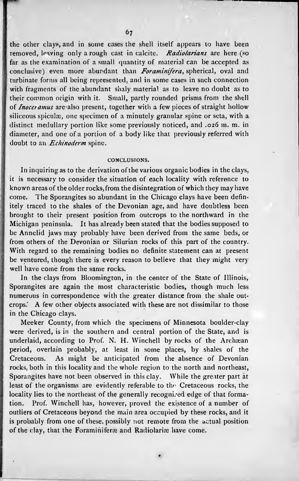the other clays, and in some cases the shell itself appears to have been removed, leaving only a rough cast in calcite. Radiolarians are here (so far as the examination of a small quantity of material can be accepted as conclusive) even more abundant than Foraminifera, spherical, oval and turbinate forms all being represented, and in some cases in such connection with fragments of the abundant shaly material as to leave no doubt as to their common origin with it. Small, partly rounded prisms from the shell of Inocetamus are also present, together with a few pieces of straight hollow siliceous spiculæ, one specimen of a minutely granular spine or seta, with a distinct medullary portion like some previously noticed, and .026 m. m. in diameter, and one of a portion of a body like that previously referred with doubt to an *Echinoderm* spine.

#### CONCLUSIONS.

In inquiring as to the derivation of the various organic bodies in the clays, it is necessary to consider the situation of each locality with reference to known areas of the older rocks, from the disintegration of which they may have come. The Sporangites so abundant in the Chicago clays have been definitely traced to the shales of the Devonian age, and have doubtless been brought to their present position from outcrops to the northward in the Michigan peninsula. It has already been stated that the bodies supposed to be Annelid jaws may probably have been derived from the same beds, or from others of the Devonian or Silurian rocks of this part of the country. With regard to the remaining bodies no definite statement can at present be ventured, though there is every reason to believe that they might very well have come from the same rocks.

In the clays from Bloomington, in the center of the State of Illinois, Sporangites are again the most characteristic bodies, though much less numerous in correspondence with the greater distance from the shale outcrops.' A few other objects associated with these are not dissimilar to those in the Chicago clays.

Meeker County, from which the specimens of Minnesota boulder-clay were derived, is in the southern and central portion of the State, and is underlaid, according to Prof. N. H. Winchell by rocks of the Archaean period, overlain probably, at least in some places, by shales of the Cretaceous. As might be anticipated from the absence of Devonian rocks, both in this locality and the whole region to the north and northeast, Sporangites have not been observed in this clay. While the greater part at least of the organisms are evidently referable to the Cretaceous rocks, the locality lies to the northeast of the generally recognized edge of that formation. Prof. Winchell has, however, proved the existence of a number of outliers of Cretaceous beyond the main area occupied by these rocks, and itis probably from one of these, possibly not remote from the actual position of the clay, that the Foraminiferce and Radiolarice have come.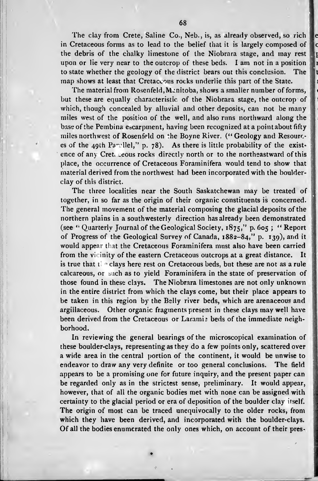The clay from Crete, Saline Co., Neb., is, as already observed, so rich in Cretaceous forms as to lead to the belief that it is largely composed of the debris of the chalky limestone of the Niobrara stage, and may rest upon or lie very near to the outcrop of these beds. <sup>I</sup> am not in <sup>a</sup> position to state whether the geology of the district bears out this conclusion. The map shows at least that Cretaceous rocks underlie this part of the State.

The material from Rosenfeld, Manitoba, shows a smaller number of forms, but these are equally characteristic of the Niobrara stage, the outcrop of which, though concealed by alluvial and other deposits, can not be many miles west of the position of the well, and also runs northward along the base of the Pembina escarpment, having been recognized at a point about fifty miles northwest of Rosenfeld on the Boyne River. (" Geology and Resources of the 49th Parellel," p. 78). As there is little probability of the existence of any Cret. ceous rocks directly north or to the northeastward of this place, the occurrence of Cretaceous Foraminifera would tend to show that material derived from the northwest had been incorporated with the boulderclay of this district.

The three localities near the South Saskatchewan may be treated of together, in so far as the origin of their organic constituents is concerned. The general movement of the material composing the glacial deposits of the northern plains in a southwesterly direction has already been demonstrated (see "Quarterly Journal of the Geological Society,  $1875$ ," p. 605; "Report of Progress of the Geological Survey of Canada, 1882-84," p. 139), and it would appear that the Cretaceous Foraminifera must also have been carried from the vicinity of the eastern Cretaceous outcrops at a great distance. It is true that the clays here rest on Cretaceous beds, but these are not as a rule calcareous, or such as to yield Foraminifera in the state of preservation of those found in these clays. The Niobrara limestones are not only unknown in the entire district from which the clays come, but their place appears to be taken in this region by the Belly river beds, which are arenaceous and argillaceous. Other organic fragments present in these clays may well have been derived from the Cretaceous or Laramie beds of the immediate neighborhood.

In reviewing the general bearings of the microscopical examination of these boulder-clays, representing as they do a few points only, scattered over a wide area in the central portion of the continent, it would be unwise to endeavor to draw any very definite or too general conclusions. The field appears to be a promising one for future inquiry, and the present paper can be regarded only as in the strictest sense, preliminary. It would appear, however, that of all the organic bodies met with none can be assigned with certainty to the glacial period or era of deposition of the boulder clay itself. The origin of most can be traced unequivocally to the older rocks, from which they have been derived, and incorporated with the boulder-clays. Of all the bodies enumerated the only ones which, on account of their pres-